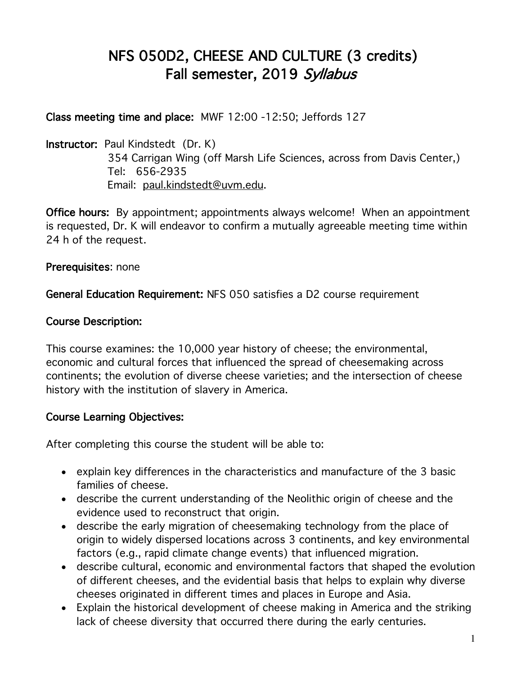# NFS 050D2, CHEESE AND CULTURE (3 credits) Fall semester, 2019 Syllabus

Class meeting time and place: MWF 12:00 -12:50; Jeffords 127

Instructor: Paul Kindstedt (Dr. K) 354 Carrigan Wing (off Marsh Life Sciences, across from Davis Center,) Tel: 656-2935 Email: paul.kindstedt@uvm.edu.

Office hours: By appointment; appointments always welcome! When an appointment is requested, Dr. K will endeavor to confirm a mutually agreeable meeting time within 24 h of the request.

Prerequisites: none

General Education Requirement: NFS 050 satisfies a D2 course requirement

#### Course Description:

This course examines: the 10,000 year history of cheese; the environmental, economic and cultural forces that influenced the spread of cheesemaking across continents; the evolution of diverse cheese varieties; and the intersection of cheese history with the institution of slavery in America.

#### Course Learning Objectives:

After completing this course the student will be able to:

- explain key differences in the characteristics and manufacture of the 3 basic families of cheese.
- describe the current understanding of the Neolithic origin of cheese and the evidence used to reconstruct that origin.
- describe the early migration of cheesemaking technology from the place of origin to widely dispersed locations across 3 continents, and key environmental factors (e.g., rapid climate change events) that influenced migration.
- describe cultural, economic and environmental factors that shaped the evolution of different cheeses, and the evidential basis that helps to explain why diverse cheeses originated in different times and places in Europe and Asia.
- Explain the historical development of cheese making in America and the striking lack of cheese diversity that occurred there during the early centuries.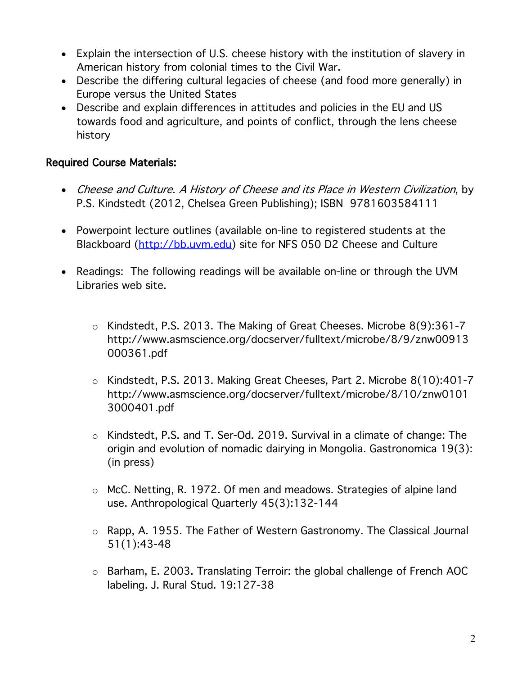- Explain the intersection of U.S. cheese history with the institution of slavery in American history from colonial times to the Civil War.
- Describe the differing cultural legacies of cheese (and food more generally) in Europe versus the United States
- Describe and explain differences in attitudes and policies in the EU and US towards food and agriculture, and points of conflict, through the lens cheese history

### Required Course Materials:

- Cheese and Culture. A History of Cheese and its Place in Western Civilization, by P.S. Kindstedt (2012, Chelsea Green Publishing); ISBN 9781603584111
- Powerpoint lecture outlines (available on-line to registered students at the Blackboard (http://bb.uvm.edu) site for NFS 050 D2 Cheese and Culture
- Readings: The following readings will be available on-line or through the UVM Libraries web site.
	- o Kindstedt, P.S. 2013. The Making of Great Cheeses. Microbe 8(9):361-7 http://www.asmscience.org/docserver/fulltext/microbe/8/9/znw00913 000361.pdf
	- o Kindstedt, P.S. 2013. Making Great Cheeses, Part 2. Microbe 8(10):401-7 http://www.asmscience.org/docserver/fulltext/microbe/8/10/znw0101 3000401.pdf
	- o Kindstedt, P.S. and T. Ser-Od. 2019. Survival in a climate of change: The origin and evolution of nomadic dairying in Mongolia. Gastronomica 19(3): (in press)
	- o McC. Netting, R. 1972. Of men and meadows. Strategies of alpine land use. Anthropological Quarterly 45(3):132-144
	- o Rapp, A. 1955. The Father of Western Gastronomy. The Classical Journal 51(1):43-48
	- o Barham, E. 2003. Translating Terroir: the global challenge of French AOC labeling. J. Rural Stud. 19:127-38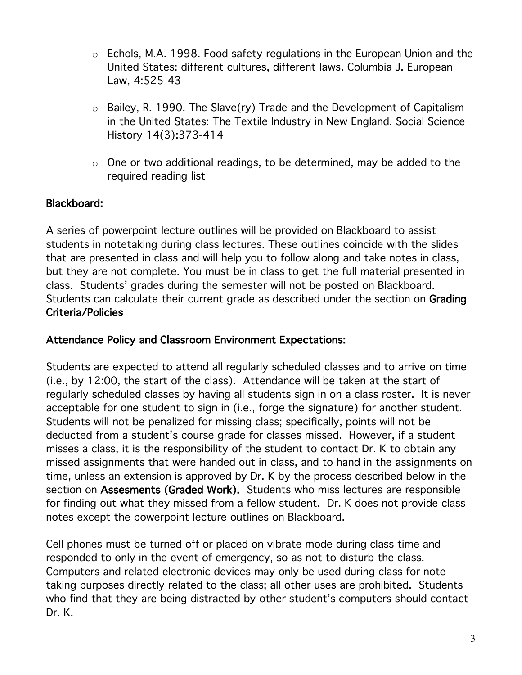- o Echols, M.A. 1998. Food safety regulations in the European Union and the United States: different cultures, different laws. Columbia J. European Law, 4:525-43
- $\circ$  Bailey, R. 1990. The Slave(ry) Trade and the Development of Capitalism in the United States: The Textile Industry in New England. Social Science History 14(3):373-414
- $\circ$  One or two additional readings, to be determined, may be added to the required reading list

### Blackboard:

A series of powerpoint lecture outlines will be provided on Blackboard to assist students in notetaking during class lectures. These outlines coincide with the slides that are presented in class and will help you to follow along and take notes in class, but they are not complete. You must be in class to get the full material presented in class. Students' grades during the semester will not be posted on Blackboard. Students can calculate their current grade as described under the section on Grading Criteria/Policies

#### Attendance Policy and Classroom Environment Expectations:

Students are expected to attend all regularly scheduled classes and to arrive on time (i.e., by 12:00, the start of the class). Attendance will be taken at the start of regularly scheduled classes by having all students sign in on a class roster. It is never acceptable for one student to sign in (i.e., forge the signature) for another student. Students will not be penalized for missing class; specifically, points will not be deducted from a student's course grade for classes missed. However, if a student misses a class, it is the responsibility of the student to contact Dr. K to obtain any missed assignments that were handed out in class, and to hand in the assignments on time, unless an extension is approved by Dr. K by the process described below in the section on Assesments (Graded Work). Students who miss lectures are responsible for finding out what they missed from a fellow student. Dr. K does not provide class notes except the powerpoint lecture outlines on Blackboard.

Cell phones must be turned off or placed on vibrate mode during class time and responded to only in the event of emergency, so as not to disturb the class. Computers and related electronic devices may only be used during class for note taking purposes directly related to the class; all other uses are prohibited. Students who find that they are being distracted by other student's computers should contact Dr. K.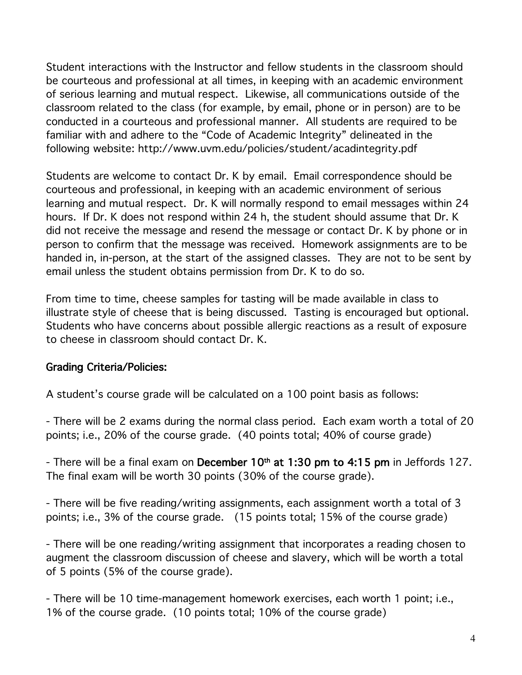Student interactions with the Instructor and fellow students in the classroom should be courteous and professional at all times, in keeping with an academic environment of serious learning and mutual respect. Likewise, all communications outside of the classroom related to the class (for example, by email, phone or in person) are to be conducted in a courteous and professional manner. All students are required to be familiar with and adhere to the "Code of Academic Integrity" delineated in the following website: http://www.uvm.edu/policies/student/acadintegrity.pdf

Students are welcome to contact Dr. K by email. Email correspondence should be courteous and professional, in keeping with an academic environment of serious learning and mutual respect. Dr. K will normally respond to email messages within 24 hours. If Dr. K does not respond within 24 h, the student should assume that Dr. K did not receive the message and resend the message or contact Dr. K by phone or in person to confirm that the message was received. Homework assignments are to be handed in, in-person, at the start of the assigned classes. They are not to be sent by email unless the student obtains permission from Dr. K to do so.

From time to time, cheese samples for tasting will be made available in class to illustrate style of cheese that is being discussed. Tasting is encouraged but optional. Students who have concerns about possible allergic reactions as a result of exposure to cheese in classroom should contact Dr. K.

### Grading Criteria/Policies:

A student's course grade will be calculated on a 100 point basis as follows:

- There will be 2 exams during the normal class period. Each exam worth a total of 20 points; i.e., 20% of the course grade. (40 points total; 40% of course grade)

- There will be a final exam on December  $10<sup>th</sup>$  at 1:30 pm to 4:15 pm in Jeffords 127. The final exam will be worth 30 points (30% of the course grade).

- There will be five reading/writing assignments, each assignment worth a total of 3 points; i.e., 3% of the course grade. (15 points total; 15% of the course grade)

- There will be one reading/writing assignment that incorporates a reading chosen to augment the classroom discussion of cheese and slavery, which will be worth a total of 5 points (5% of the course grade).

- There will be 10 time-management homework exercises, each worth 1 point; i.e., 1% of the course grade. (10 points total; 10% of the course grade)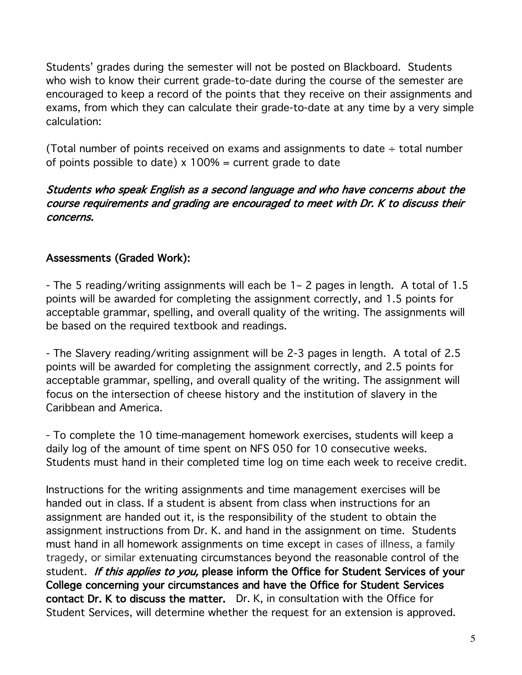Students' grades during the semester will not be posted on Blackboard. Students who wish to know their current grade-to-date during the course of the semester are encouraged to keep a record of the points that they receive on their assignments and exams, from which they can calculate their grade-to-date at any time by a very simple calculation:

(Total number of points received on exams and assignments to date  $\div$  total number of points possible to date)  $x$  100% = current grade to date

### Students who speak English as a second language and who have concerns about the course requirements and grading are encouraged to meet with Dr. K to discuss their concerns.

### Assessments (Graded Work):

- The 5 reading/writing assignments will each be 1– 2 pages in length. A total of 1.5 points will be awarded for completing the assignment correctly, and 1.5 points for acceptable grammar, spelling, and overall quality of the writing. The assignments will be based on the required textbook and readings.

- The Slavery reading/writing assignment will be 2-3 pages in length. A total of 2.5 points will be awarded for completing the assignment correctly, and 2.5 points for acceptable grammar, spelling, and overall quality of the writing. The assignment will focus on the intersection of cheese history and the institution of slavery in the Caribbean and America.

- To complete the 10 time-management homework exercises, students will keep a daily log of the amount of time spent on NFS 050 for 10 consecutive weeks. Students must hand in their completed time log on time each week to receive credit.

Instructions for the writing assignments and time management exercises will be handed out in class. If a student is absent from class when instructions for an assignment are handed out it, is the responsibility of the student to obtain the assignment instructions from Dr. K. and hand in the assignment on time. Students must hand in all homework assignments on time except in cases of illness, a family tragedy, or similar extenuating circumstances beyond the reasonable control of the student. If this applies to you, please inform the Office for Student Services of your College concerning your circumstances and have the Office for Student Services contact Dr. K to discuss the matter. Dr. K, in consultation with the Office for Student Services, will determine whether the request for an extension is approved.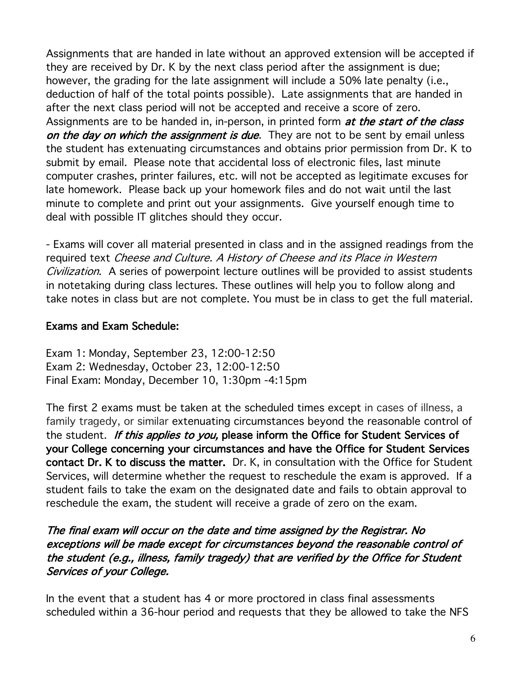Assignments that are handed in late without an approved extension will be accepted if they are received by Dr. K by the next class period after the assignment is due; however, the grading for the late assignment will include a 50% late penalty (i.e., deduction of half of the total points possible). Late assignments that are handed in after the next class period will not be accepted and receive a score of zero. Assignments are to be handed in, in-person, in printed form at the start of the class on the day on which the assignment is due. They are not to be sent by email unless the student has extenuating circumstances and obtains prior permission from Dr. K to submit by email. Please note that accidental loss of electronic files, last minute computer crashes, printer failures, etc. will not be accepted as legitimate excuses for late homework. Please back up your homework files and do not wait until the last minute to complete and print out your assignments. Give yourself enough time to deal with possible IT glitches should they occur.

- Exams will cover all material presented in class and in the assigned readings from the required text Cheese and Culture. A History of Cheese and its Place in Western Civilization. A series of powerpoint lecture outlines will be provided to assist students in notetaking during class lectures. These outlines will help you to follow along and take notes in class but are not complete. You must be in class to get the full material.

### Exams and Exam Schedule:

Exam 1: Monday, September 23, 12:00-12:50 Exam 2: Wednesday, October 23, 12:00-12:50 Final Exam: Monday, December 10, 1:30pm -4:15pm

The first 2 exams must be taken at the scheduled times except in cases of illness, a family tragedy, or similar extenuating circumstances beyond the reasonable control of the student. If this applies to you, please inform the Office for Student Services of your College concerning your circumstances and have the Office for Student Services contact Dr. K to discuss the matter. Dr. K, in consultation with the Office for Student Services, will determine whether the request to reschedule the exam is approved. If a student fails to take the exam on the designated date and fails to obtain approval to reschedule the exam, the student will receive a grade of zero on the exam.

#### The final exam will occur on the date and time assigned by the Registrar. No exceptions will be made except for circumstances beyond the reasonable control of the student (e.g., illness, family tragedy) that are verified by the Office for Student Services of your College.

In the event that a student has 4 or more proctored in class final assessments scheduled within a 36-hour period and requests that they be allowed to take the NFS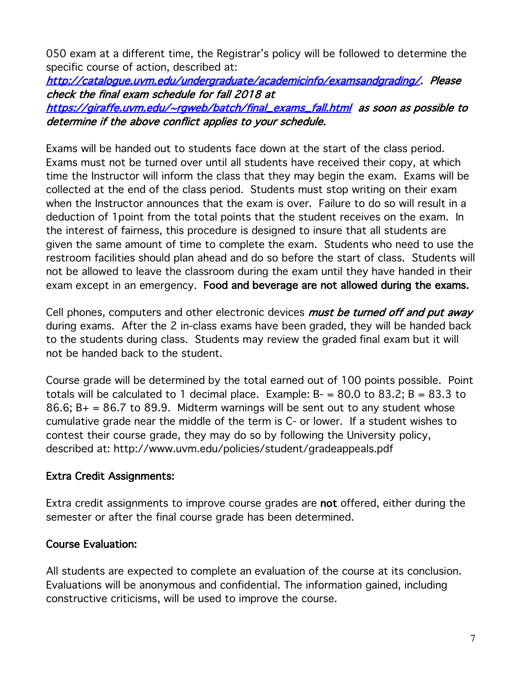050 exam at a different time, the Registrar's policy will be followed to determine the specific course of action, described at:

http://catalogue.uvm.edu/undergraduate/academicinfo/examsandgrading/. Please check the final exam schedule for fall 2018 at

https://giraffe.uvm.edu/~rgweb/batch/final\_exams\_fall.html as soon as possible to determine if the above conflict applies to your schedule.

Exams will be handed out to students face down at the start of the class period. Exams must not be turned over until all students have received their copy, at which time the Instructor will inform the class that they may begin the exam. Exams will be collected at the end of the class period. Students must stop writing on their exam when the Instructor announces that the exam is over. Failure to do so will result in a deduction of 1point from the total points that the student receives on the exam. In the interest of fairness, this procedure is designed to insure that all students are given the same amount of time to complete the exam. Students who need to use the restroom facilities should plan ahead and do so before the start of class. Students will not be allowed to leave the classroom during the exam until they have handed in their exam except in an emergency. Food and beverage are not allowed during the exams.

Cell phones, computers and other electronic devices *must be turned off and put away* during exams. After the 2 in-class exams have been graded, they will be handed back to the students during class. Students may review the graded final exam but it will not be handed back to the student.

Course grade will be determined by the total earned out of 100 points possible. Point totals will be calculated to 1 decimal place. Example:  $B = 80.0$  to 83.2;  $B = 83.3$  to 86.6;  $B_+ = 86.7$  to 89.9. Midterm warnings will be sent out to any student whose cumulative grade near the middle of the term is C- or lower. If a student wishes to contest their course grade, they may do so by following the University policy, described at: http://www.uvm.edu/policies/student/gradeappeals.pdf

### Extra Credit Assignments:

Extra credit assignments to improve course grades are not offered, either during the semester or after the final course grade has been determined.

### Course Evaluation:

All students are expected to complete an evaluation of the course at its conclusion. Evaluations will be anonymous and confidential. The information gained, including constructive criticisms, will be used to improve the course.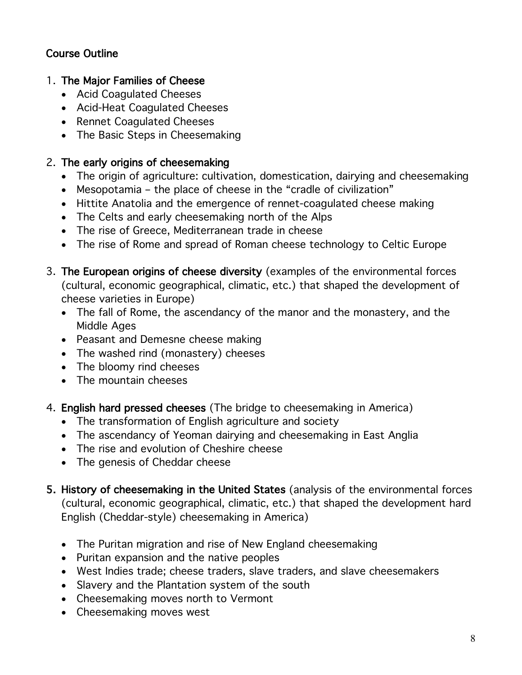# Course Outline

#### 1. The Major Families of Cheese

- Acid Coagulated Cheeses
- Acid-Heat Coagulated Cheeses
- Rennet Coagulated Cheeses
- The Basic Steps in Cheesemaking

### 2. The early origins of cheesemaking

- The origin of agriculture: cultivation, domestication, dairying and cheesemaking
- Mesopotamia the place of cheese in the "cradle of civilization"
- Hittite Anatolia and the emergence of rennet-coagulated cheese making
- The Celts and early cheesemaking north of the Alps
- The rise of Greece, Mediterranean trade in cheese
- The rise of Rome and spread of Roman cheese technology to Celtic Europe
- 3. The European origins of cheese diversity (examples of the environmental forces (cultural, economic geographical, climatic, etc.) that shaped the development of cheese varieties in Europe)
	- The fall of Rome, the ascendancy of the manor and the monastery, and the Middle Ages
	- Peasant and Demesne cheese making
	- The washed rind (monastery) cheeses
	- The bloomy rind cheeses
	- The mountain cheeses
- 4. English hard pressed cheeses (The bridge to cheesemaking in America)
	- The transformation of English agriculture and society
	- The ascendancy of Yeoman dairying and cheesemaking in East Anglia
	- The rise and evolution of Cheshire cheese
	- The genesis of Cheddar cheese
- 5. History of cheesemaking in the United States (analysis of the environmental forces (cultural, economic geographical, climatic, etc.) that shaped the development hard English (Cheddar-style) cheesemaking in America)
	- The Puritan migration and rise of New England cheesemaking
	- Puritan expansion and the native peoples
	- West Indies trade; cheese traders, slave traders, and slave cheesemakers
	- Slavery and the Plantation system of the south
	- Cheesemaking moves north to Vermont
	- Cheesemaking moves west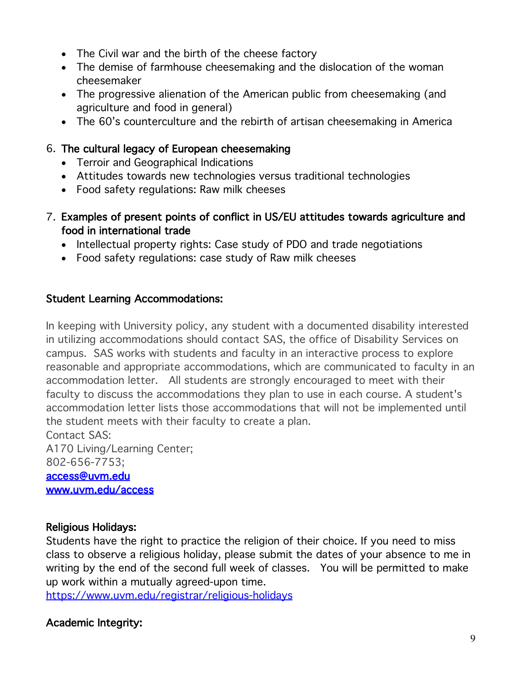- The Civil war and the birth of the cheese factory
- The demise of farmhouse cheesemaking and the dislocation of the woman cheesemaker
- The progressive alienation of the American public from cheesemaking (and agriculture and food in general)
- The 60's counterculture and the rebirth of artisan cheesemaking in America

### 6. The cultural legacy of European cheesemaking

- Terroir and Geographical Indications
- Attitudes towards new technologies versus traditional technologies
- Food safety regulations: Raw milk cheeses
- 7. Examples of present points of conflict in US/EU attitudes towards agriculture and food in international trade
	- Intellectual property rights: Case study of PDO and trade negotiations
	- Food safety regulations: case study of Raw milk cheeses

## Student Learning Accommodations:

In keeping with University policy, any student with a documented disability interested in utilizing accommodations should contact SAS, the office of Disability Services on campus. SAS works with students and faculty in an interactive process to explore reasonable and appropriate accommodations, which are communicated to faculty in an accommodation letter. All students are strongly encouraged to meet with their faculty to discuss the accommodations they plan to use in each course. A student's accommodation letter lists those accommodations that will not be implemented until the student meets with their faculty to create a plan.

Contact SAS:

A170 Living/Learning Center; 802-656-7753;

access@uvm.edu www.uvm.edu/access

### Religious Holidays:

Students have the right to practice the religion of their choice. If you need to miss class to observe a religious holiday, please submit the dates of your absence to me in writing by the end of the second full week of classes. You will be permitted to make up work within a mutually agreed-upon time.

https://www.uvm.edu/registrar/religious-holidays

# Academic Integrity: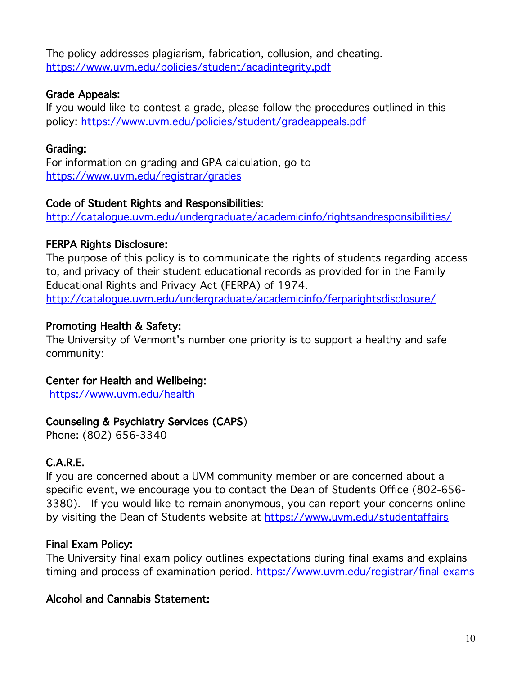The policy addresses plagiarism, fabrication, collusion, and cheating. https://www.uvm.edu/policies/student/acadintegrity.pdf

### Grade Appeals:

If you would like to contest a grade, please follow the procedures outlined in this policy: https://www.uvm.edu/policies/student/gradeappeals.pdf

### Grading:

For information on grading and GPA calculation, go to https://www.uvm.edu/registrar/grades

### Code of Student Rights and Responsibilities:

http://catalogue.uvm.edu/undergraduate/academicinfo/rightsandresponsibilities/

## FERPA Rights Disclosure:

The purpose of this policy is to communicate the rights of students regarding access to, and privacy of their student educational records as provided for in the Family Educational Rights and Privacy Act (FERPA) of 1974. http://catalogue.uvm.edu/undergraduate/academicinfo/ferparightsdisclosure/

## Promoting Health & Safety:

The University of Vermont's number one priority is to support a healthy and safe community:

### Center for Health and Wellbeing:

https://www.uvm.edu/health

# Counseling & Psychiatry Services (CAPS)

Phone: (802) 656-3340

# C.A.R.E.

If you are concerned about a UVM community member or are concerned about a specific event, we encourage you to contact the Dean of Students Office (802-656- 3380). If you would like to remain anonymous, you can report your concerns online by visiting the Dean of Students website at https://www.uvm.edu/studentaffairs

# Final Exam Policy:

The University final exam policy outlines expectations during final exams and explains timing and process of examination period. https://www.uvm.edu/registrar/final-exams

### Alcohol and Cannabis Statement: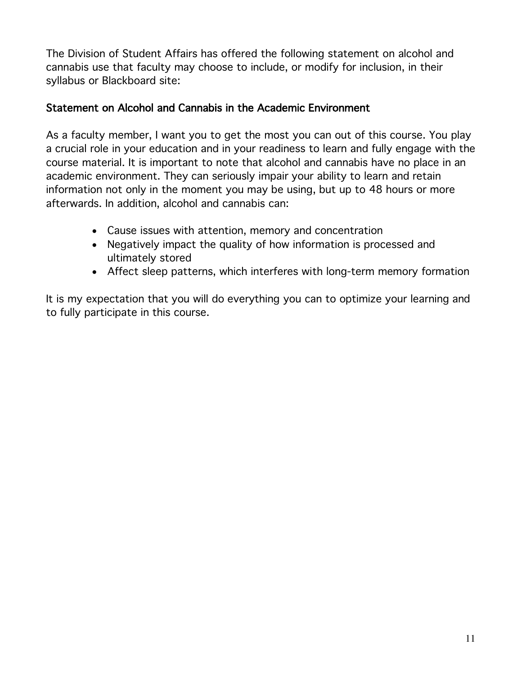The Division of Student Affairs has offered the following statement on alcohol and cannabis use that faculty may choose to include, or modify for inclusion, in their syllabus or Blackboard site:

### Statement on Alcohol and Cannabis in the Academic Environment

As a faculty member, I want you to get the most you can out of this course. You play a crucial role in your education and in your readiness to learn and fully engage with the course material. It is important to note that alcohol and cannabis have no place in an academic environment. They can seriously impair your ability to learn and retain information not only in the moment you may be using, but up to 48 hours or more afterwards. In addition, alcohol and cannabis can:

- Cause issues with attention, memory and concentration
- Negatively impact the quality of how information is processed and ultimately stored
- Affect sleep patterns, which interferes with long-term memory formation

It is my expectation that you will do everything you can to optimize your learning and to fully participate in this course.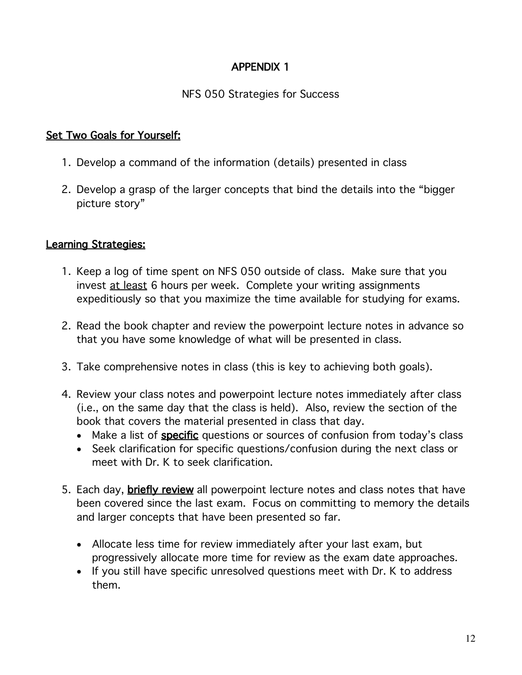# APPENDIX 1

### NFS 050 Strategies for Success

### Set Two Goals for Yourself:

- 1. Develop a command of the information (details) presented in class
- 2. Develop a grasp of the larger concepts that bind the details into the "bigger picture story"

#### Learning Strategies:

- 1. Keep a log of time spent on NFS 050 outside of class. Make sure that you invest at least 6 hours per week. Complete your writing assignments expeditiously so that you maximize the time available for studying for exams.
- 2. Read the book chapter and review the powerpoint lecture notes in advance so that you have some knowledge of what will be presented in class.
- 3. Take comprehensive notes in class (this is key to achieving both goals).
- 4. Review your class notes and powerpoint lecture notes immediately after class (i.e., on the same day that the class is held). Also, review the section of the book that covers the material presented in class that day.
	- Make a list of **specific** questions or sources of confusion from today's class
	- Seek clarification for specific questions/confusion during the next class or meet with Dr. K to seek clarification.
- 5. Each day, **briefly review** all powerpoint lecture notes and class notes that have been covered since the last exam. Focus on committing to memory the details and larger concepts that have been presented so far.
	- Allocate less time for review immediately after your last exam, but progressively allocate more time for review as the exam date approaches.
	- If you still have specific unresolved questions meet with Dr. K to address them.